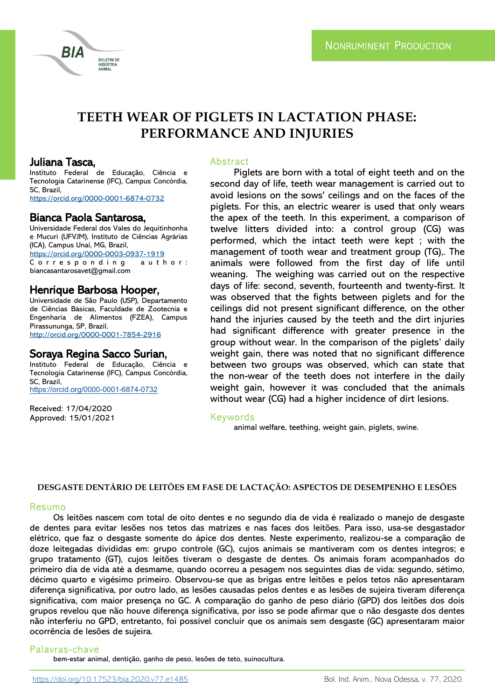# **TEETH WEAR OF PIGLETS IN LACTATION PHASE: PERFORMANCE AND INJURIES**

## Juliana Tasca,

**BIA** 

Instituto Federal de Educação, Ciência e Tecnologia Catarinense (IFC), Campus Concórdia, SC, Brazil <https://orcid.org/0000-0001-6874-0732>

**BOLETIM DE NDÚSTRIA ANIMAL** 

Bianca Paola Santarosa,

Universidade Federal dos Vales do Jequitinhonha e Mucuri (UFVJM), Instituto de Ciências Agrárias (ICA), Campus Unaí, MG, Brazil, <https://orcid.org/0000-0003-0937-1919> Corresponding author: biancasantarosavet@gmail.com

## Henrique Barbosa Hooper,

Universidade de São Paulo (USP), Departamento de Ciências Básicas, Faculdade de Zootecnia e Engenharia de Alimentos (FZEA), Campus Pirassununga, SP, Brazil, <http://orcid.org/0000-0001-7854-2916>

## Soraya Regina Sacco Surian,

Instituto Federal de Educação, Ciência e Tecnologia Catarinense (IFC), Campus Concórdia, SC, Brazil, [https://orcid.org/0000](https://orcid.org/0000-0001-6874-0732)-0001-6874-0732

Received: 17/04/2020 Approved: 15/01/2021

#### Abstract

Piglets are born with a total of eight teeth and on the second day of life, teeth wear management is carried out to avoid lesions on the sows' ceilings and on the faces of the piglets. For this, an electric wearer is used that only wears the apex of the teeth. In this experiment, a comparison of twelve litters divided into: a control group (CG) was performed, which the intact teeth were kept ; with the management of tooth wear and treatment group (TG),. The animals were followed from the first day of life until weaning. The weighing was carried out on the respective days of life: second, seventh, fourteenth and twenty-first. It was observed that the fights between piglets and for the ceilings did not present significant difference, on the other hand the injuries caused by the teeth and the dirt injuries had significant difference with greater presence in the group without wear. In the comparison of the piglets' daily weight gain, there was noted that no significant difference between two groups was observed, which can state that the non-wear of the teeth does not interfere in the daily weight gain, however it was concluded that the animals without wear (CG) had a higher incidence of dirt lesions.

#### Keywords

animal welfare, teething, weight gain, piglets, swine.

#### **DESGASTE DENTÁRIO DE LEITÕES EM FASE DE LACTAÇÃO: ASPECTOS DE DESEMPENHO E LESÕES**

#### Resumo

Os leitões nascem com total de oito dentes e no segundo dia de vida é realizado o manejo de desgaste de dentes para evitar lesões nos tetos das matrizes e nas faces dos leitões. Para isso, usa-se desgastador elétrico, que faz o desgaste somente do ápice dos dentes. Neste experimento, realizou-se a comparação de doze leitegadas divididas em: grupo controle (GC), cujos animais se mantiveram com os dentes íntegros; e grupo tratamento (GT), cujos leitões tiveram o desgaste de dentes. Os animais foram acompanhados do primeiro dia de vida até a desmame, quando ocorreu a pesagem nos seguintes dias de vida: segundo, sétimo, décimo quarto e vigésimo primeiro. Observou-se que as brigas entre leitões e pelos tetos não apresentaram diferença significativa, por outro lado, as lesões causadas pelos dentes e as lesões de sujeira tiveram diferença significativa, com maior presença no GC. A comparação do ganho de peso diário (GPD) dos leitões dos dois grupos revelou que não houve diferença significativa, por isso se pode afirmar que o não desgaste dos dentes não interferiu no GPD, entretanto, foi possível concluir que os animais sem desgaste (GC) apresentaram maior ocorrência de lesões de sujeira.

### Palavras-chave

bem-estar animal, dentição, ganho de peso, lesões de teto, suinocultura.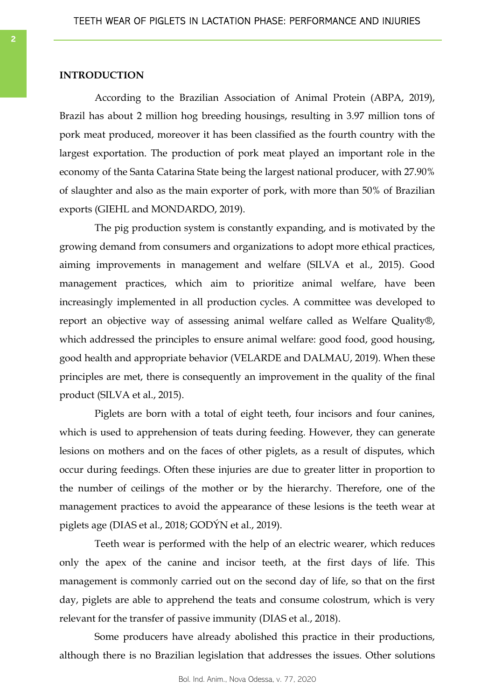#### **INTRODUCTION**

According to the Brazilian Association of Animal Protein (ABPA, 2019), Brazil has about 2 million hog breeding housings, resulting in 3.97 million tons of pork meat produced, moreover it has been classified as the fourth country with the largest exportation. The production of pork meat played an important role in the economy of the Santa Catarina State being the largest national producer, with 27.90% of slaughter and also as the main exporter of pork, with more than 50% of Brazilian exports (GIEHL and MONDARDO, 2019).

The pig production system is constantly expanding, and is motivated by the growing demand from consumers and organizations to adopt more ethical practices, aiming improvements in management and welfare (SILVA et al., 2015). Good management practices, which aim to prioritize animal welfare, have been increasingly implemented in all production cycles. A committee was developed to report an objective way of assessing animal welfare called as Welfare Quality®, which addressed the principles to ensure animal welfare: good food, good housing, good health and appropriate behavior (VELARDE and DALMAU, 2019). When these principles are met, there is consequently an improvement in the quality of the final product (SILVA et al., 2015).

Piglets are born with a total of eight teeth, four incisors and four canines, which is used to apprehension of teats during feeding. However, they can generate lesions on mothers and on the faces of other piglets, as a result of disputes, which occur during feedings. Often these injuries are due to greater litter in proportion to the number of ceilings of the mother or by the hierarchy. Therefore, one of the management practices to avoid the appearance of these lesions is the teeth wear at piglets age (DIAS et al., 2018; GODÝN et al., 2019).

Teeth wear is performed with the help of an electric wearer, which reduces only the apex of the canine and incisor teeth, at the first days of life. This management is commonly carried out on the second day of life, so that on the first day, piglets are able to apprehend the teats and consume colostrum, which is very relevant for the transfer of passive immunity (DIAS et al., 2018).

Some producers have already abolished this practice in their productions, although there is no Brazilian legislation that addresses the issues. Other solutions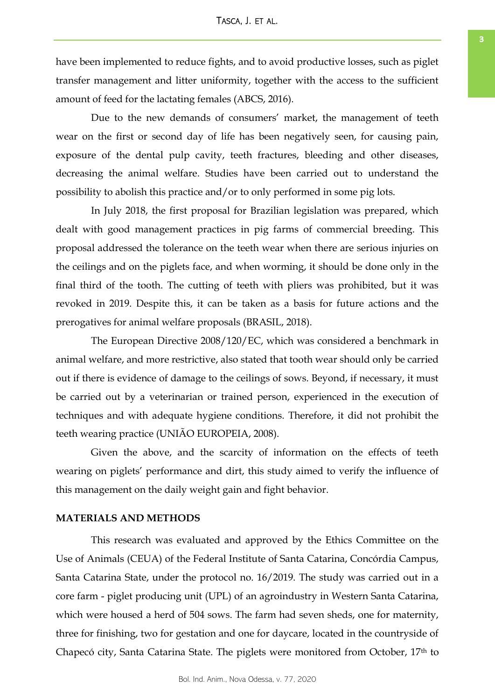have been implemented to reduce fights, and to avoid productive losses, such as piglet transfer management and litter uniformity, together with the access to the sufficient amount of feed for the lactating females (ABCS, 2016).

Due to the new demands of consumers' market, the management of teeth wear on the first or second day of life has been negatively seen, for causing pain, exposure of the dental pulp cavity, teeth fractures, bleeding and other diseases, decreasing the animal welfare. Studies have been carried out to understand the possibility to abolish this practice and/or to only performed in some pig lots.

In July 2018, the first proposal for Brazilian legislation was prepared, which dealt with good management practices in pig farms of commercial breeding. This proposal addressed the tolerance on the teeth wear when there are serious injuries on the ceilings and on the piglets face, and when worming, it should be done only in the final third of the tooth. The cutting of teeth with pliers was prohibited, but it was revoked in 2019. Despite this, it can be taken as a basis for future actions and the prerogatives for animal welfare proposals (BRASIL, 2018).

The European Directive 2008/120/EC, which was considered a benchmark in animal welfare, and more restrictive, also stated that tooth wear should only be carried out if there is evidence of damage to the ceilings of sows. Beyond, if necessary, it must be carried out by a veterinarian or trained person, experienced in the execution of techniques and with adequate hygiene conditions. Therefore, it did not prohibit the teeth wearing practice (UNIÃO EUROPEIA, 2008).

Given the above, and the scarcity of information on the effects of teeth wearing on piglets' performance and dirt, this study aimed to verify the influence of this management on the daily weight gain and fight behavior.

#### **MATERIALS AND METHODS**

This research was evaluated and approved by the Ethics Committee on the Use of Animals (CEUA) of the Federal Institute of Santa Catarina, Concórdia Campus, Santa Catarina State, under the protocol no. 16/2019. The study was carried out in a core farm - piglet producing unit (UPL) of an agroindustry in Western Santa Catarina, which were housed a herd of 504 sows. The farm had seven sheds, one for maternity, three for finishing, two for gestation and one for daycare, located in the countryside of Chapecó city, Santa Catarina State. The piglets were monitored from October, 17th to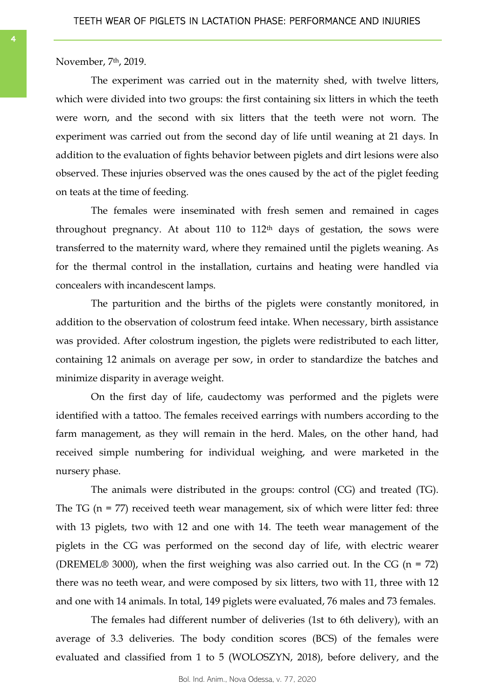November, 7th, 2019.

The experiment was carried out in the maternity shed, with twelve litters, which were divided into two groups: the first containing six litters in which the teeth were worn, and the second with six litters that the teeth were not worn. The experiment was carried out from the second day of life until weaning at 21 days. In addition to the evaluation of fights behavior between piglets and dirt lesions were also observed. These injuries observed was the ones caused by the act of the piglet feeding on teats at the time of feeding.

The females were inseminated with fresh semen and remained in cages throughout pregnancy. At about 110 to  $112<sup>th</sup>$  days of gestation, the sows were transferred to the maternity ward, where they remained until the piglets weaning. As for the thermal control in the installation, curtains and heating were handled via concealers with incandescent lamps.

The parturition and the births of the piglets were constantly monitored, in addition to the observation of colostrum feed intake. When necessary, birth assistance was provided. After colostrum ingestion, the piglets were redistributed to each litter, containing 12 animals on average per sow, in order to standardize the batches and minimize disparity in average weight.

On the first day of life, caudectomy was performed and the piglets were identified with a tattoo. The females received earrings with numbers according to the farm management, as they will remain in the herd. Males, on the other hand, had received simple numbering for individual weighing, and were marketed in the nursery phase.

The animals were distributed in the groups: control (CG) and treated (TG). The TG ( $n = 77$ ) received teeth wear management, six of which were litter fed: three with 13 piglets, two with 12 and one with 14. The teeth wear management of the piglets in the CG was performed on the second day of life, with electric wearer (DREMEL® 3000), when the first weighing was also carried out. In the CG ( $n = 72$ ) there was no teeth wear, and were composed by six litters, two with 11, three with 12 and one with 14 animals. In total, 149 piglets were evaluated, 76 males and 73 females.

The females had different number of deliveries (1st to 6th delivery), with an average of 3.3 deliveries. The body condition scores (BCS) of the females were evaluated and classified from 1 to 5 (WOLOSZYN, 2018), before delivery, and the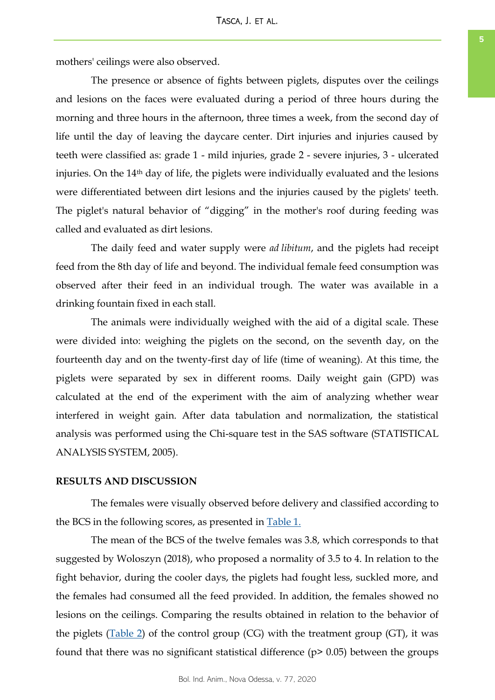mothers' ceilings were also observed.

The presence or absence of fights between piglets, disputes over the ceilings and lesions on the faces were evaluated during a period of three hours during the morning and three hours in the afternoon, three times a week, from the second day of life until the day of leaving the daycare center. Dirt injuries and injuries caused by teeth were classified as: grade 1 - mild injuries, grade 2 - severe injuries, 3 - ulcerated injuries. On the 14th day of life, the piglets were individually evaluated and the lesions were differentiated between dirt lesions and the injuries caused by the piglets' teeth. The piglet's natural behavior of "digging" in the mother's roof during feeding was called and evaluated as dirt lesions.

The daily feed and water supply were *ad libitum*, and the piglets had receipt feed from the 8th day of life and beyond. The individual female feed consumption was observed after their feed in an individual trough. The water was available in a drinking fountain fixed in each stall.

The animals were individually weighed with the aid of a digital scale. These were divided into: weighing the piglets on the second, on the seventh day, on the fourteenth day and on the twenty-first day of life (time of weaning). At this time, the piglets were separated by sex in different rooms. Daily weight gain (GPD) was calculated at the end of the experiment with the aim of analyzing whether wear interfered in weight gain. After data tabulation and normalization, the statistical analysis was performed using the Chi-square test in the SAS software (STATISTICAL ANALYSIS SYSTEM, 2005).

#### **RESULTS AND DISCUSSION**

The females were visually observed before delivery and classified according to the BCS in the following scores, as presented in [Table 1.](#page-5-0)

The mean of the BCS of the twelve females was 3.8, which corresponds to that suggested by Woloszyn (2018), who proposed a normality of 3.5 to 4. In relation to the fight behavior, during the cooler days, the piglets had fought less, suckled more, and the females had consumed all the feed provided. In addition, the females showed no lesions on the ceilings. Comparing the results obtained in relation to the behavior of the piglets ([Table 2\)](#page-5-0) of the control group (CG) with the treatment group (GT), it was found that there was no significant statistical difference  $(p > 0.05)$  between the groups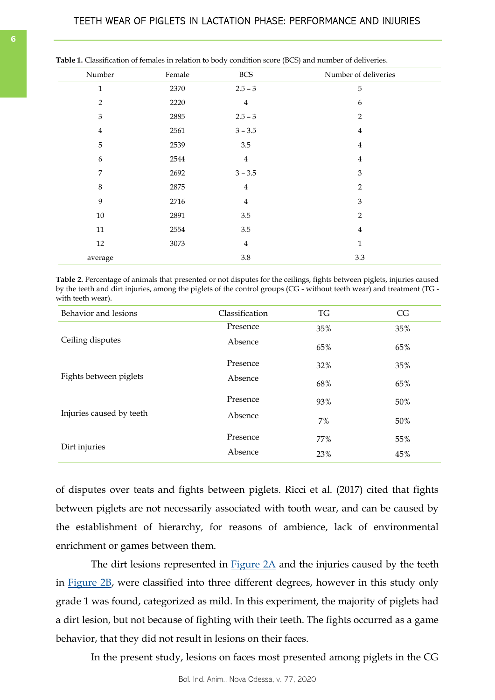| <b>EVALUATE AND SERVER CONTROLLED ASSESSED</b> ( $PCC$ ) and hannel of activeness. |        |                         |                      |  |
|------------------------------------------------------------------------------------|--------|-------------------------|----------------------|--|
| Number                                                                             | Female | <b>BCS</b>              | Number of deliveries |  |
| $\mathbf{1}$                                                                       | 2370   | $2.5 - 3$               | $\sqrt{5}$           |  |
| $\overline{2}$                                                                     | 2220   | $\overline{4}$          | 6                    |  |
| $\mathfrak{Z}$                                                                     | 2885   | $2.5 - 3$               | 2                    |  |
| $\overline{4}$                                                                     | 2561   | $3 - 3.5$               | 4                    |  |
| 5                                                                                  | 2539   | 3.5                     | $\overline{4}$       |  |
| 6                                                                                  | 2544   | $\overline{4}$          | $\overline{4}$       |  |
| 7                                                                                  | 2692   | $3 - 3.5$               | 3                    |  |
| $\,8\,$                                                                            | 2875   | $\bf 4$                 | $\overline{2}$       |  |
| 9                                                                                  | 2716   | $\bf 4$                 | $\mathfrak{Z}$       |  |
| $10\,$                                                                             | 2891   | 3.5                     | $\overline{2}$       |  |
| $11\,$                                                                             | 2554   | 3.5                     | 4                    |  |
| 12                                                                                 | 3073   | $\overline{\mathbf{4}}$ | $\mathbf{1}$         |  |
| average                                                                            |        | $3.8\,$                 | 3.3                  |  |
|                                                                                    |        |                         |                      |  |

<span id="page-5-0"></span>

| <b>Table 1.</b> Classification of females in relation to body condition score (BCS) and number of deliveries. |  |  |
|---------------------------------------------------------------------------------------------------------------|--|--|
|---------------------------------------------------------------------------------------------------------------|--|--|

**Table 2.** Percentage of animals that presented or not disputes for the ceilings, fights between piglets, injuries caused by the teeth and dirt injuries, among the piglets of the control groups (CG - without teeth wear) and treatment (TG with teeth wear).

| Behavior and lesions     | <b>Classification</b> | <b>TG</b> | CG  |
|--------------------------|-----------------------|-----------|-----|
|                          | Presence              | 35%       | 35% |
| Ceiling disputes         | Absence               | 65%       | 65% |
|                          | Presence              | 32%       | 35% |
| Fights between piglets   | Absence               | 68%       | 65% |
|                          | Presence              | 93%       | 50% |
| Injuries caused by teeth | Absence               | $7\%$     | 50% |
|                          | Presence              | 77%       | 55% |
| Dirt injuries            | Absence               | 23%       | 45% |

of disputes over teats and fights between piglets. Ricci et al. (2017) cited that fights between piglets are not necessarily associated with tooth wear, and can be caused by the establishment of hierarchy, for reasons of ambience, lack of environmental enrichment or games between them.

The dirt lesions represented in [Figure 2A](#page-6-0) and the injuries caused by the teeth in [Figure 2B,](#page-6-0) were classified into three different degrees, however in this study only grade 1 was found, categorized as mild. In this experiment, the majority of piglets had a dirt lesion, but not because of fighting with their teeth. The fights occurred as a game behavior, that they did not result in lesions on their faces.

In the present study, lesions on faces most presented among piglets in the CG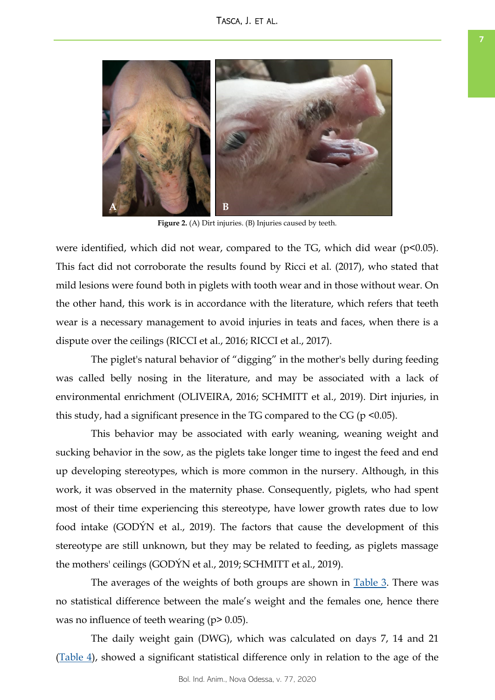<span id="page-6-0"></span>

**Figure 2.** (A) Dirt injuries. (B) Injuries caused by teeth.

were identified, which did not wear, compared to the TG, which did wear (p<0.05). This fact did not corroborate the results found by Ricci et al. (2017), who stated that mild lesions were found both in piglets with tooth wear and in those without wear. On the other hand, this work is in accordance with the literature, which refers that teeth wear is a necessary management to avoid injuries in teats and faces, when there is a dispute over the ceilings (RICCI et al., 2016; RICCI et al., 2017).

The piglet's natural behavior of "digging" in the mother's belly during feeding was called belly nosing in the literature, and may be associated with a lack of environmental enrichment (OLIVEIRA, 2016; SCHMITT et al., 2019). Dirt injuries, in this study, had a significant presence in the TG compared to the CG ( $p \le 0.05$ ).

This behavior may be associated with early weaning, weaning weight and sucking behavior in the sow, as the piglets take longer time to ingest the feed and end up developing stereotypes, which is more common in the nursery. Although, in this work, it was observed in the maternity phase. Consequently, piglets, who had spent most of their time experiencing this stereotype, have lower growth rates due to low food intake (GODÝN et al., 2019). The factors that cause the development of this stereotype are still unknown, but they may be related to feeding, as piglets massage the mothers' ceilings (GODÝN et al., 2019; SCHMITT et al., 2019).

The averages of the weights of both groups are shown in [Table 3.](#page-7-0) There was no statistical difference between the male's weight and the females one, hence there was no influence of teeth wearing (p> 0.05).

The daily weight gain (DWG), which was calculated on days 7, 14 and 21 [\(Table 4\)](#page-7-0), showed a significant statistical difference only in relation to the age of the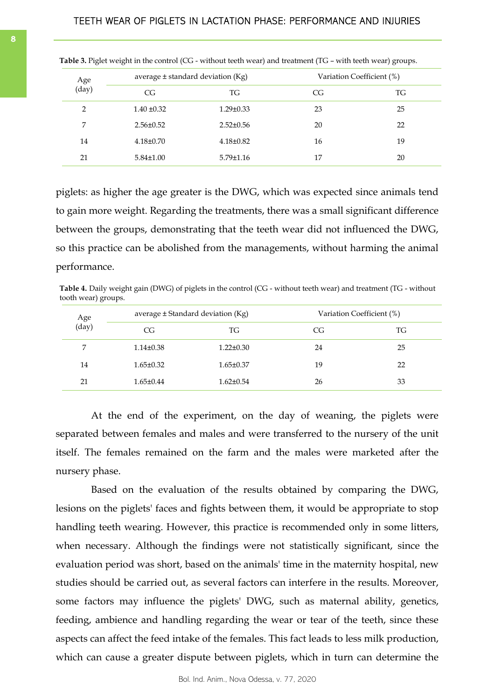| Age<br>(day)   |                 | average $\pm$ standard deviation (Kg) |    | Variation Coefficient (%) |  |
|----------------|-----------------|---------------------------------------|----|---------------------------|--|
|                | CG              | TG                                    | CG | TG                        |  |
| $\overline{2}$ | $1.40 \pm 0.32$ | $1.29 \pm 0.33$                       | 23 | 25                        |  |
| 7              | $2.56 \pm 0.52$ | $2.52 \pm 0.56$                       | 20 | 22                        |  |
| 14             | $4.18 \pm 0.70$ | $4.18 \pm 0.82$                       | 16 | 19                        |  |
| 21             | $5.84 \pm 1.00$ | $5.79 \pm 1.16$                       | 17 | 20                        |  |

<span id="page-7-0"></span>**Table 3.** Piglet weight in the control (CG - without teeth wear) and treatment (TG – with teeth wear) groups.

piglets: as higher the age greater is the DWG, which was expected since animals tend to gain more weight. Regarding the treatments, there was a small significant difference between the groups, demonstrating that the teeth wear did not influenced the DWG, so this practice can be abolished from the managements, without harming the animal performance.

**Table 4.** Daily weight gain (DWG) of piglets in the control (CG - without teeth wear) and treatment (TG - without tooth wear) groups.

| Age<br>(day) |                 | average ± Standard deviation (Kg) |    | Variation Coefficient (%) |  |
|--------------|-----------------|-----------------------------------|----|---------------------------|--|
|              | CG              | TG                                | CG | TG                        |  |
| 7            | $1.14 \pm 0.38$ | $1.22 \pm 0.30$                   | 24 | 25                        |  |
| 14           | $1.65 \pm 0.32$ | $1.65 \pm 0.37$                   | 19 | 22                        |  |
| 21           | $1.65 \pm 0.44$ | $1.62 \pm 0.54$                   | 26 | 33                        |  |

At the end of the experiment, on the day of weaning, the piglets were separated between females and males and were transferred to the nursery of the unit itself. The females remained on the farm and the males were marketed after the nursery phase.

Based on the evaluation of the results obtained by comparing the DWG, lesions on the piglets' faces and fights between them, it would be appropriate to stop handling teeth wearing. However, this practice is recommended only in some litters, when necessary. Although the findings were not statistically significant, since the evaluation period was short, based on the animals' time in the maternity hospital, new studies should be carried out, as several factors can interfere in the results. Moreover, some factors may influence the piglets' DWG, such as maternal ability, genetics, feeding, ambience and handling regarding the wear or tear of the teeth, since these aspects can affect the feed intake of the females. This fact leads to less milk production, which can cause a greater dispute between piglets, which in turn can determine the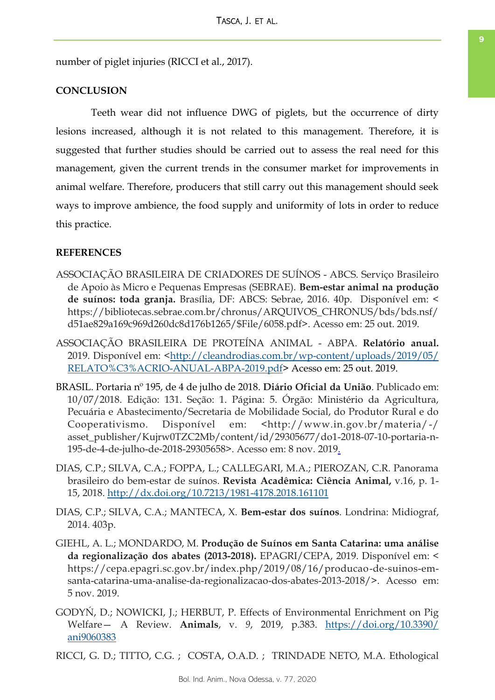number of piglet injuries (RICCI et al., 2017).

## **CONCLUSION**

Teeth wear did not influence DWG of piglets, but the occurrence of dirty lesions increased, although it is not related to this management. Therefore, it is suggested that further studies should be carried out to assess the real need for this management, given the current trends in the consumer market for improvements in animal welfare. Therefore, producers that still carry out this management should seek ways to improve ambience, the food supply and uniformity of lots in order to reduce this practice.

#### **REFERENCES**

- ASSOCIAÇÃO BRASILEIRA DE CRIADORES DE SUÍNOS ABCS. Serviço Brasileiro de Apoio às Micro e Pequenas Empresas (SEBRAE). **Bem-estar animal na produção de suínos: toda granja.** Brasília, DF: ABCS: Sebrae, 2016. 40p. Disponível em: < https://bibliotecas.sebrae.com.br/chronus/ARQUIVOS\_CHRONUS/bds/bds.nsf/ d51ae829a169c969d260dc8d176b1265/\$File/6058.pdf>. Acesso em: 25 out. 2019.
- ASSOCIAÇÃO BRASILEIRA DE PROTEÍNA ANIMAL ABPA. **Relatório anual.** 2019. Disponível em: <[http://cleandrodias.com.br/wp-content/uploads/2019/05/](http://cleandrodias.com.br/wp-content/uploads/2019/05/RELATO%C3%ACRIO-ANUAL-ABPA-2019.pdf) [RELATO%C3%ACRIO-ANUAL-ABPA-2019.pdf>](http://cleandrodias.com.br/wp-content/uploads/2019/05/RELATO%C3%ACRIO-ANUAL-ABPA-2019.pdf) Acesso em: 25 out. 2019.
- BRASIL. Portaria nº 195, de 4 de julho de 2018. **Diário Oficial da União**. Publicado em: 10/07/2018. Edição: 131. Seção: 1. Página: 5. Órgão: Ministério da Agricultura, Pecuária e Abastecimento/Secretaria de Mobilidade Social, do Produtor Rural e do Cooperativismo. Disponível em: <http://www.in.gov.br/materia/-/ asset\_publisher/Kujrw0TZC2Mb/content/id/29305677/do1-2018-07-10-portaria-n-195-de-4-de-julho-de-2018-29305658>. Acesso em: 8 nov. 2019.
- DIAS, C.P.; SILVA, C.A.; FOPPA, L.; CALLEGARI, M.A.; PIEROZAN, C.R. Panorama brasileiro do bem-estar de suínos. **Revista Acadêmica: Ciência Animal,** v.16, p. 1- 15, 2018.<http://dx.doi.org/10.7213/1981-4178.2018.161101>
- DIAS, C.P.; SILVA, C.A.; MANTECA, X. **Bem-estar dos suínos**. Londrina: Midiograf, 2014. 403p.
- GIEHL, A. L.; MONDARDO, M. **Produção de Suínos em Santa Catarina: uma análise da regionalização dos abates (2013-2018).** EPAGRI/CEPA, 2019. Disponível em: < https://cepa.epagri.sc.gov.br/index.php/2019/08/16/producao-de-suinos-emsanta-catarina-uma-analise-da-regionalizacao-dos-abates-2013-2018/>. Acesso em: 5 nov. 2019.
- GODYŃ, D.; NOWICKI, J.; HERBUT, P. Effects of Environmental Enrichment on Pig Welfare— A Review. **Animals**, v. *9*, 2019, p.383. [https://doi.org/10.3390/](https://doi.org/10.3390/ani9060383) [ani9060383](https://doi.org/10.3390/ani9060383)

RICCI, G. D.; TITTO, C.G. ; COSTA, O.A.D. ; TRINDADE NETO, M.A. Ethological